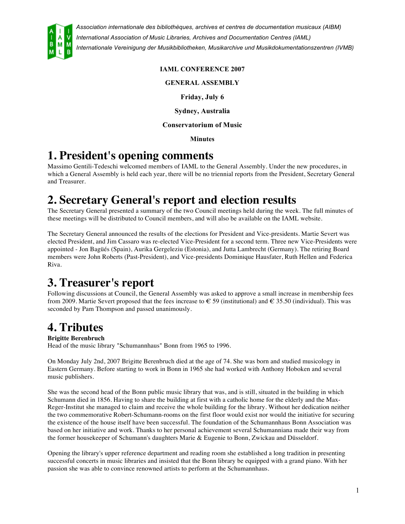

### **IAML CONFERENCE 2007**

**GENERAL ASSEMBLY**

**Friday, July 6**

**Sydney, Australia**

#### **Conservatorium of Music**

**Minutes**

## **1. President's opening comments**

Massimo Gentili-Tedeschi welcomed members of IAML to the General Assembly. Under the new procedures, in which a General Assembly is held each year, there will be no triennial reports from the President, Secretary General and Treasurer.

## **2. Secretary General's report and election results**

The Secretary General presented a summary of the two Council meetings held during the week. The full minutes of these meetings will be distributed to Council members, and will also be available on the IAML website.

The Secretary General announced the results of the elections for President and Vice-presidents. Martie Severt was elected President, and Jim Cassaro was re-elected Vice-President for a second term. Three new Vice-Presidents were appointed - Jon Bagüés (Spain), Aurika Gergeleziu (Estonia), and Jutta Lambrecht (Germany). The retiring Board members were John Roberts (Past-President), and Vice-presidents Dominique Hausfater, Ruth Hellen and Federica Riva.

## **3. Treasurer's report**

Following discussions at Council, the General Assembly was asked to approve a small increase in membership fees from 2009. Martie Severt proposed that the fees increase to  $\epsilon$  59 (institutional) and  $\epsilon$  35.50 (individual). This was seconded by Pam Thompson and passed unanimously.

## **4. Tributes**

#### **Brigitte Berenbruch**

Head of the music library "Schumannhaus" Bonn from 1965 to 1996.

On Monday July 2nd, 2007 Brigitte Berenbruch died at the age of 74. She was born and studied musicology in Eastern Germany. Before starting to work in Bonn in 1965 she had worked with Anthony Hoboken and several music publishers.

She was the second head of the Bonn public music library that was, and is still, situated in the building in which Schumann died in 1856. Having to share the building at first with a catholic home for the elderly and the Max-Reger-Institut she managed to claim and receive the whole building for the library. Without her dedication neither the two commemorative Robert-Schumann-rooms on the first floor would exist nor would the initiative for securing the existence of the house itself have been successful. The foundation of the Schumannhaus Bonn Association was based on her initiative and work. Thanks to her personal achievement several Schumanniana made their way from the former housekeeper of Schumann's daughters Marie & Eugenie to Bonn, Zwickau and Düsseldorf.

Opening the library's upper reference department and reading room she established a long tradition in presenting successful concerts in music libraries and insisted that the Bonn library be equipped with a grand piano. With her passion she was able to convince renowned artists to perform at the Schumannhaus.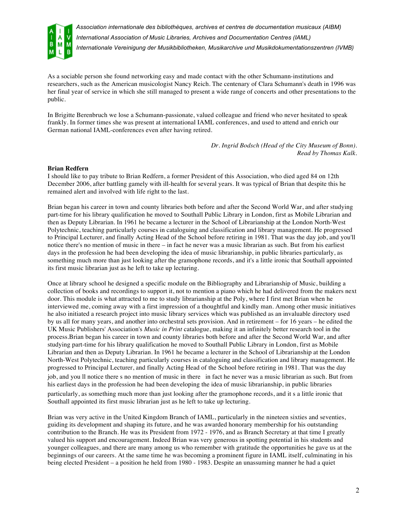

As a sociable person she found networking easy and made contact with the other Schumann-institutions and researchers, such as the American musicologist Nancy Reich. The centenary of Clara Schumann's death in 1996 was her final year of service in which she still managed to present a wide range of concerts and other presentations to the public.

In Brigitte Berenbruch we lose a Schumann-passionate, valued colleague and friend who never hesitated to speak frankly. In former times she was present at international IAML conferences, and used to attend and enrich our German national IAML-conferences even after having retired.

> *Dr. Ingrid Bodsch (Head of the City Museum of Bonn). Read by Thomas Kalk.*

#### **Brian Redfern**

I should like to pay tribute to Brian Redfern, a former President of this Association, who died aged 84 on 12th December 2006, after battling gamely with ill-health for several years. It was typical of Brian that despite this he remained alert and involved with life right to the last.

Brian began his career in town and county libraries both before and after the Second World War, and after studying part-time for his library qualification he moved to Southall Public Library in London, first as Mobile Librarian and then as Deputy Librarian. In 1961 he became a lecturer in the School of Librarianship at the London North-West Polytechnic, teaching particularly courses in cataloguing and classification and library management. He progressed to Principal Lecturer, and finally Acting Head of the School before retiring in 1981. That was the day job, and you'll notice there's no mention of music in there – in fact he never was a music librarian as such. But from his earliest days in the profession he had been developing the idea of music librarianship, in public libraries particularly, as something much more than just looking after the gramophone records, and it's a little ironic that Southall appointed its first music librarian just as he left to take up lecturing.

Once at library school he designed a specific module on the Bibliography and Librarianship of Music, building a collection of books and recordings to support it, not to mention a piano which he had delivered from the makers next door. This module is what attracted to me to study librarianship at the Poly, where I first met Brian when he interviewed me, coming away with a first impression of a thoughtful and kindly man. Among other music initiatives he also initiated a research project into music library services which was published as an invaluable directory used by us all for many years, and another into orchestral sets provision. And in retirement – for 16 years – he edited the UK Music Publishers' Association's *Music in Print* catalogue, making it an infinitely better research tool in the process.Brian began his career in town and county libraries both before and after the Second World War, and after studying part-time for his library qualification he moved to Southall Public Library in London, first as Mobile Librarian and then as Deputy Librarian. In 1961 he became a lecturer in the School of Librarianship at the London North-West Polytechnic, teaching particularly courses in cataloguing and classification and library management. He progressed to Principal Lecturer, and finally Acting Head of the School before retiring in 1981. That was the day job, and you ll notice there s no mention of music in there in fact he never was a music librarian as such. But from his earliest days in the profession he had been developing the idea of music librarianship, in public libraries particularly, as something much more than just looking after the gramophone records, and it s a little ironic that

Southall appointed its first music librarian just as he left to take up lecturing.

Brian was very active in the United Kingdom Branch of IAML, particularly in the nineteen sixties and seventies, guiding its development and shaping its future, and he was awarded honorary membership for his outstanding contribution to the Branch. He was its President from 1972 - 1976, and as Branch Secretary at that time I greatly valued his support and encouragement. Indeed Brian was very generous in spotting potential in his students and younger colleagues, and there are many among us who remember with gratitude the opportunities he gave us at the beginnings of our careers. At the same time he was becoming a prominent figure in IAML itself, culminating in his being elected President – a position he held from 1980 - 1983. Despite an unassuming manner he had a quiet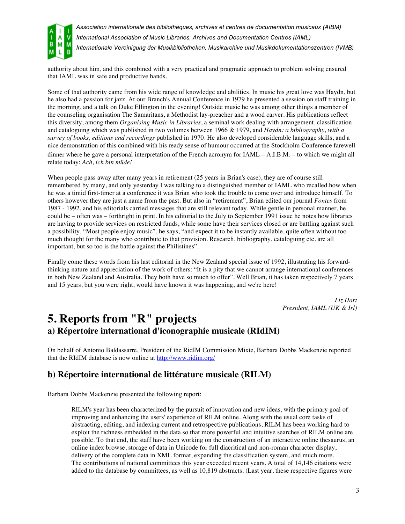

authority about him, and this combined with a very practical and pragmatic approach to problem solving ensured that IAML was in safe and productive hands.

Some of that authority came from his wide range of knowledge and abilities. In music his great love was Haydn, but he also had a passion for jazz. At our Branch's Annual Conference in 1979 he presented a session on staff training in the morning, and a talk on Duke Ellington in the evening! Outside music he was among other things a member of the counseling organisation The Samaritans, a Methodist lay-preacher and a wood carver. His publications reflect this diversity, among them *Organising Music in Libraries*, a seminal work dealing with arrangement, classification and cataloguing which was published in two volumes between 1966 & 1979, and *Haydn: a bibliography, with a survey of books, editions and recordings* published in 1970. He also developed considerable language skills, and a nice demonstration of this combined with his ready sense of humour occurred at the Stockholm Conference farewell dinner where he gave a personal interpretation of the French acronym for IAML – A.I.B.M. – to which we might all relate today: *Ach, ich bin müde!*

When people pass away after many years in retirement (25 years in Brian's case), they are of course still remembered by many, and only yesterday I was talking to a distinguished member of IAML who recalled how when he was a timid first-timer at a conference it was Brian who took the trouble to come over and introduce himself. To others however they are just a name from the past. But also in "retirement", Brian edited our journal *Fontes* from 1987 - 1992, and his editorials carried messages that are still relevant today. While gentle in personal manner, he could be – often was – forthright in print. In his editorial to the July to September 1991 issue he notes how libraries are having to provide services on restricted funds, while some have their services closed or are battling against such a possibility. "Most people enjoy music", he says, "and expect it to be instantly available, quite often without too much thought for the many who contribute to that provision. Research, bibliography, cataloguing etc. are all important, but so too is the battle against the Philistines".

Finally come these words from his last editorial in the New Zealand special issue of 1992, illustrating his forwardthinking nature and appreciation of the work of others: "It is a pity that we cannot arrange international conferences in both New Zealand and Australia. They both have so much to offer". Well Brian, it has taken respectively 7 years and 15 years, but you were right, would have known it was happening, and we're here!

> *Liz Hart President, IAML (UK & Irl)*

### **5. Reports from "R" projects a) Répertoire international d'iconographie musicale (RIdIM)**

On behalf of Antonio Baldassarre, President of the RidIM Commission Mixte, Barbara Dobbs Mackenzie reported that the RIdIM database is now online at http://www.ridim.org/

### **b) Répertoire international de littérature musicale (RILM)**

Barbara Dobbs Mackenzie presented the following report:

RILM's year has been characterized by the pursuit of innovation and new ideas, with the primary goal of improving and enhancing the users' experience of RILM online. Along with the usual core tasks of abstracting, editing, and indexing current and retrospective publications, RILM has been working hard to exploit the richness embedded in the data so that more powerful and intuitive searches of RILM online are possible. To that end, the staff have been working on the construction of an interactive online thesaurus, an online index browse, storage of data in Unicode for full diacritical and non-roman character display, delivery of the complete data in XML format, expanding the classification system, and much more. The contributions of national committees this year exceeded recent years. A total of 14,146 citations were added to the database by committees, as well as 10,819 abstracts. (Last year, these respective figures were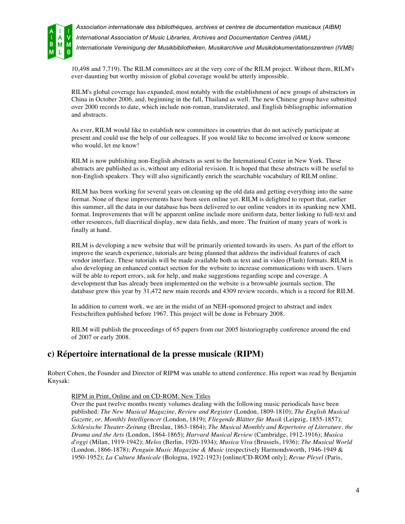

10,498 and 7,719). The RILM committees are at the very core of the RILM project. Without them, RILM's ever-daunting but worthy mission of global coverage would be utterly impossible.

RILM's global coverage has expanded, most notably with the establishment of new groups of abstractors in China in October 2006, and, beginning in the fall, Thailand as well. The new Chinese group have submitted over 2000 records to date, which include non-roman, transliterated, and English bibliographic information and abstracts.

As ever, RILM would like to establish new committees in countries that do not actively participate at present and could use the help of our colleagues. If you would like to become involved or know someone who would, let me know!

RILM is now publishing non-English abstracts as sent to the International Center in New York. These abstracts are published as is, without any editorial revision. It is hoped that these abstracts will be useful to non-English speakers. They will also significantly enrich the searchable vocabulary of RILM online.

RILM has been working for several years on cleaning up the old data and getting everything into the same format. None of these improvements have been seen online yet. RILM is delighted to report that, earlier this summer, all the data in our database has been delivered to our online vendors in its spanking new XML format. Improvements that will be apparent online include more uniform data, better linking to full-text and other resources, full diacritical display, new data fields, and more. The fruition of many years of work is finally at hand.

RILM is developing a new website that will be primarily oriented towards its users. As part of the effort to improve the search experience, tutorials are being planned that address the individual features of each vendor interface. These tutorials will be made available both as text and in video (Flash) formats. RILM is also developing an enhanced contact section for the website to increase communications with users. Users will be able to report errors, ask for help, and make suggestions regarding scope and coverage. A development that has already been implemented on the website is a browsable journals section. The database grew this year by 31,472 new main records and 4309 review records, which is a record for RILM.

In addition to current work, we are in the midst of an NEH-sponsored project to abstract and index Festschriften published before 1967. This project will be done in February 2008.

RILM will publish the proceedings of 65 papers from our 2005 historiography conference around the end of 2007 or early 2008.

### **c) Répertoire international de la presse musicale (RIPM)**

Robert Cohen, the Founder and Director of RIPM was unable to attend conference. His report was read by Benjamin Knysak:

RIPM in Print, Online and on CD-ROM: New Titles

Over the past twelve months twenty volumes dealing with the following music periodicals have been published: *The New Musical Magazine, Review and Register* (London, 1809-1810); *The English Musical Gazette, or, Monthly Intelligencer* (London, 1819); *Fliegende Blätter für Musik* (Leipzig, 1855-1857); *Schlesische Theater-Zeitung* (Breslau, 1863-1864); *The Musical Monthly and Repertoire of Literature, the Drama and the Arts* (London, 1864-1865); *Harvard Musical Review* (Cambridge, 1912-1916); *Musica d'oggi* (Milan, 1919-1942); *Melos* (Berlin, 1920-1934); *Musica Viva* (Brussels, 1936); *The Musical World* (London, 1866-1878); *Penguin Music Magazine & Music* (respectively Harmondsworth, 1946-1949 & 1950-1952); *La Cultura Musicale* (Bologna, 1922-1923) [online/CD-ROM only]; *Revue Pleyel* (Paris,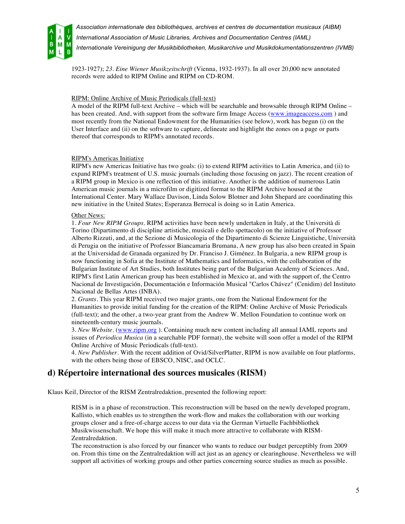

1923-1927); *23. Eine Wiener Musikzeitschrift* (Vienna, 1932-1937). In all over 20,000 new annotated records were added to RIPM Online and RIPM on CD-ROM.

#### RIPM: Online Archive of Music Periodicals (full-text)

A model of the RIPM full-text Archive – which will be searchable and browsable through RIPM Online – has been created. And, with support from the software firm Image Access (www.imageaccess.com) and most recently from the National Endowment for the Humanities (see below), work has begun (i) on the User Interface and (ii) on the software to capture, delineate and highlight the zones on a page or parts thereof that corresponds to RIPM's annotated records.

#### RIPM's Americas Initiative

RIPM's new Americas Initiative has two goals: (i) to extend RIPM activities to Latin America, and (ii) to expand RIPM's treatment of U.S. music journals (including those focusing on jazz). The recent creation of a RIPM group in Mexico is one reflection of this initiative. Another is the addition of numerous Latin American music journals in a microfilm or digitized format to the RIPM Archive housed at the International Center. Mary Wallace Davison, Linda Solow Blotner and John Shepard are coordinating this new initiative in the United States; Esperanza Berrocal is doing so in Latin America.

#### Other News:

1. *Four New RIPM Groups*. RIPM activities have been newly undertaken in Italy, at the Università di Torino (Dipartimento di discipline artistiche, musicali e dello spettacolo) on the initiative of Professor Alberto Rizzuti, and, at the Sezione di Musicologia of the Dipartimento di Scienze Linguistiche, Università di Perugia on the initiative of Professor Biancamaria Brumana, A new group has also been created in Spain at the Universidad de Granada organized by Dr. Franciso J. Giménez. In Bulgaria, a new RIPM group is now functioning in Sofia at the Institute of Mathematics and Informatics, with the collaboration of the Bulgarian Institute of Art Studies, both Institutes being part of the Bulgarian Academy of Sciences. And, RIPM's first Latin American group has been established in Mexico at, and with the support of, the Centro Nacional de Investigación, Documentación e Información Musical "Carlos Chávez" (Cenidim) del Instituto Nacional de Bellas Artes (INBA).

2. *Grants*. This year RIPM received two major grants, one from the National Endowment for the Humanities to provide initial funding for the creation of the RIPM: Online Archive of Music Periodicals (full-text); and the other, a two-year grant from the Andrew W. Mellon Foundation to continue work on nineteenth-century music journals.

3. *New Website*. (www.ripm.org ). Containing much new content including all annual IAML reports and issues of *Periodica Musica* (in a searchable PDF format), the website will soon offer a model of the RIPM Online Archive of Music Periodicals (full-text).

4. *New Publisher*. With the recent addition of Ovid/SilverPlatter, RIPM is now available on four platforms, with the others being those of EBSCO, NISC, and OCLC.

### **d) Répertoire international des sources musicales (RISM)**

Klaus Keil, Director of the RISM Zentralredaktion, presented the following report:

RISM is in a phase of reconstruction. This reconstruction will be based on the newly developed program, Kallisto, which enables us to strengthen the work-flow and makes the collaboration with our working groups closer and a free-of-charge access to our data via the German Virtuelle Fachbibliothek Musikwissenschaft. We hope this will make it much more attractive to collaborate with RISM-Zentralredaktion.

The reconstruction is also forced by our financer who wants to reduce our budget perceptibly from 2009 on. From this time on the Zentralredaktion will act just as an agency or clearinghouse. Nevertheless we will support all activities of working groups and other parties concerning source studies as much as possible.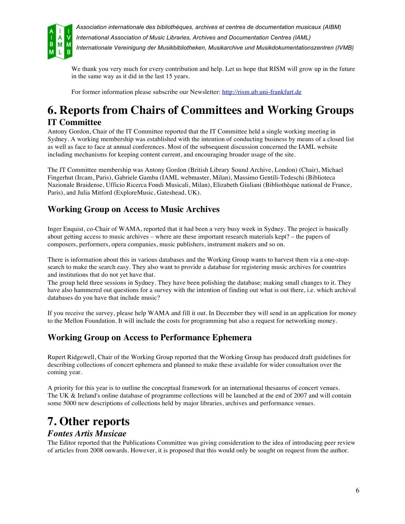

We thank you very much for every contribution and help. Let us hope that RISM will grow up in the future in the same way as it did in the last 15 years.

For former information please subscribe our Newsletter: http://rism.ub.uni-frankfurt.de

## **6. Reports from Chairs of Committees and Working Groups IT Committee**

Antony Gordon, Chair of the IT Committee reported that the IT Committee held a single working meeting in Sydney. A working membership was established with the intention of conducting business by means of a closed list as well as face to face at annual conferences. Most of the subsequent discussion concerned the IAML website including mechanisms for keeping content current, and encouraging broader usage of the site.

The IT Committee membership was Antony Gordon (British Library Sound Archive, London) (Chair), Michael Fingerhut (Ircam, Paris), Gabriele Gamba (IAML webmaster, Milan), Massimo Gentili-Tedeschi (Biblioteca Nazionale Braidense, Ufficio Ricerca Fondi Musicali, Milan), Elizabeth Giuliani (Bibliothèque national de France, Paris), and Julia Mitford (ExploreMusic, Gateshead, UK).

### **Working Group on Access to Music Archives**

Inger Enquist, co-Chair of WAMA, reported that it had been a very busy week in Sydney. The project is basically about getting access to music archives – where are these important research materials kept? – the papers of composers, performers, opera companies, music publishers, instrument makers and so on.

There is information about this in various databases and the Working Group wants to harvest them via a one-stopsearch to make the search easy. They also want to provide a database for registering music archives for countries and institutions that do not yet have that.

The group held three sessions in Sydney. They have been polishing the database; making small changes to it. They have also hammered out questions for a survey with the intention of finding out what is out there, i.e. which archival databases do you have that include music?

If you receive the survey, please help WAMA and fill it out. In December they will send in an application for money to the Mellon Foundation. It will include the costs for programming but also a request for networking money.

### **Working Group on Access to Performance Ephemera**

Rupert Ridgewell, Chair of the Working Group reported that the Working Group has produced draft guidelines for describing collections of concert ephemera and planned to make these available for wider consultation over the coming year.

A priority for this year is to outline the conceptual framework for an international thesaurus of concert venues. The UK & Ireland's online database of programme collections will be launched at the end of 2007 and will contain some 5000 new descriptions of collections held by major libraries, archives and performance venues.

## **7. Other reports**

### *Fontes Artis Musicae*

The Editor reported that the Publications Committee was giving consideration to the idea of introducing peer review of articles from 2008 onwards. However, it is proposed that this would only be sought on request from the author.